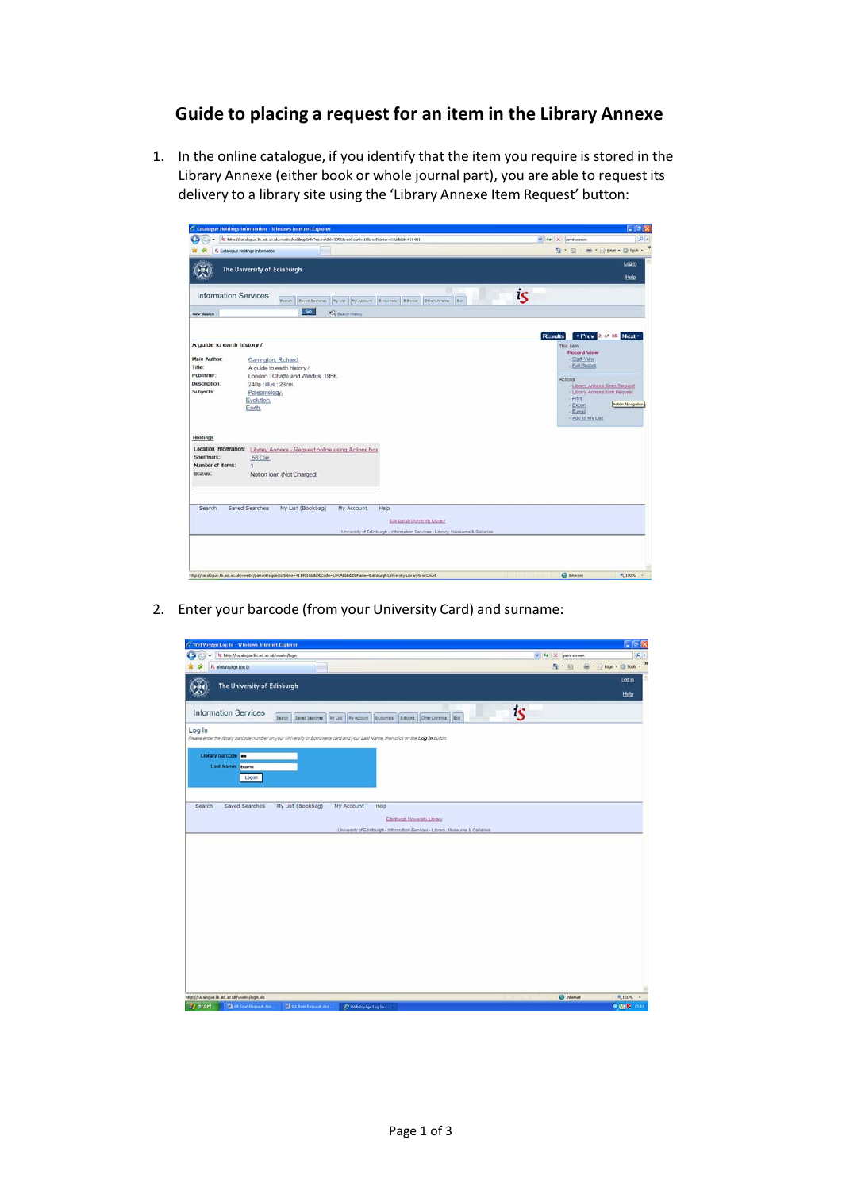## **Guide to placing a request for an item in the Library Annexe**

1. In the online catalogue, if you identify that the item you require is stored in the Library Annexe (either book or whole journal part), you are able to request its delivery to a library site using the 'Library Annexe Item Request' button:

| Catalogue Holdings Information - Windows Internet Explorer<br>5 http://catalogue.lb.ed.ac.uk/vweby/holdingstnfo?searchid=30568recCount=108recPointer=18bb3d=411401 | $  -$<br>$\rho$ .<br>$-4$ $\frac{1}{2}$ X print screen                     |
|--------------------------------------------------------------------------------------------------------------------------------------------------------------------|----------------------------------------------------------------------------|
|                                                                                                                                                                    |                                                                            |
| <b>İs Catalogue Holdings Information</b>                                                                                                                           | Q 回 → → Dev → O Took -                                                     |
| The University of Edinburgh                                                                                                                                        | Log.in                                                                     |
|                                                                                                                                                                    | Help                                                                       |
| <b>Information Services</b><br>My List My Account Bultimala Billbows Offer Libraries Bill<br>Search   Saved Searches                                               | is                                                                         |
| Go<br><b>C</b> Search Halley<br>New Search                                                                                                                         |                                                                            |
|                                                                                                                                                                    | + Prev 2 of 95 Next +<br><b>Results</b>                                    |
| A guide to earth history /                                                                                                                                         | This item<br>Record View                                                   |
| Main Author:<br>Carrington, Richard.                                                                                                                               | - Staff View                                                               |
| Title:<br>A guide to earth history /                                                                                                                               | Full Record                                                                |
| Publisher:<br>London : Chatto and Windus, 1956.                                                                                                                    | Actions                                                                    |
| Description:<br>240p: illus: 23cm.                                                                                                                                 | <b>Library Annexe Scan Request</b>                                         |
| Subjects:<br>Paleontology.                                                                                                                                         | - Library Annexe Item Request                                              |
| Evolution.<br>Earth.                                                                                                                                               | $-$ Print<br>Action Navigation<br>- Export<br>$-$ E-mail<br>Add to My List |
| <b>Holdings</b><br>Location Information:<br>Library Annexe - Request online using Actions box                                                                      |                                                                            |
| Shelfmark:<br>.56 Car.                                                                                                                                             |                                                                            |
| Number of Items:<br>1                                                                                                                                              |                                                                            |
| Status:<br>Not on Ioan (Not Charged)                                                                                                                               |                                                                            |
|                                                                                                                                                                    |                                                                            |
| My List (Bookbag)<br>Search<br>Saved Searches<br>My Account.<br>Help                                                                                               |                                                                            |
| Edinburgh University Library                                                                                                                                       |                                                                            |
| University of Edinburgh - Information Services - Library, Museums & Galleries                                                                                      |                                                                            |
|                                                                                                                                                                    |                                                                            |
|                                                                                                                                                                    |                                                                            |
|                                                                                                                                                                    |                                                                            |
|                                                                                                                                                                    |                                                                            |

2. Enter your barcode (from your University Card) and surname:

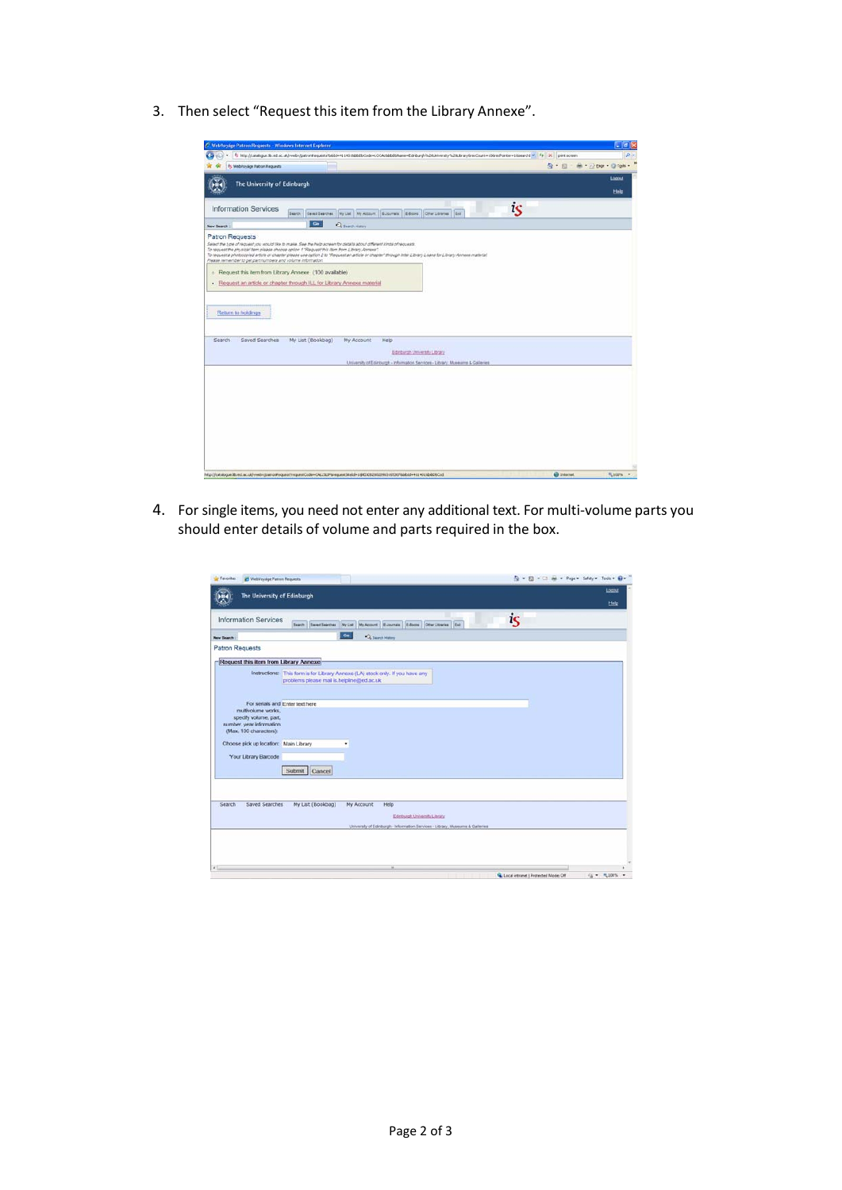3. Then select "Request this item from the Library Annexe".

| C WebYeyage Patron Requests - Windows Internet Explorer                                                                                                                                                                                             |                                                                                                                                                                                |                             | $-10$    |
|-----------------------------------------------------------------------------------------------------------------------------------------------------------------------------------------------------------------------------------------------------|--------------------------------------------------------------------------------------------------------------------------------------------------------------------------------|-----------------------------|----------|
|                                                                                                                                                                                                                                                     | 5. http://catalogue.Ro.ed.ac.uk/wweb//batronReguests/bibb5=4114018bBCbDcode=LOCAL8bBCBName=Edeburght%20Literandsy%20Library/becCount=10bedforche=15search( * F + X pret screen |                             | $\Omega$ |
| 5 WebVoyage Patron Requests                                                                                                                                                                                                                         |                                                                                                                                                                                | Q · Ill · 单· 2000 · O fpk · |          |
| The University of Edinburgh                                                                                                                                                                                                                         |                                                                                                                                                                                |                             | Logout   |
|                                                                                                                                                                                                                                                     |                                                                                                                                                                                |                             | Help     |
|                                                                                                                                                                                                                                                     |                                                                                                                                                                                |                             |          |
| <b>Information Services</b>                                                                                                                                                                                                                         | is<br>Search Earles Searches My List My Account E-Doumain E-Books Chevroletrania Eult                                                                                          |                             |          |
| New Search                                                                                                                                                                                                                                          | $\sim$<br><b>CLEANS HARM</b>                                                                                                                                                   |                             |          |
| Patron Requests                                                                                                                                                                                                                                     |                                                                                                                                                                                |                             |          |
| Please remember to pet part numbers and volume information.<br>o Request this item from Library Annexe (100 available)<br>. Request an article or chapter through ILL for Library Annexe material<br>Return to holdings<br>Saved Searches<br>Search | My List (Bookbag)<br>My Account<br>Help                                                                                                                                        |                             |          |
|                                                                                                                                                                                                                                                     | Edinburgh University Library                                                                                                                                                   |                             |          |
|                                                                                                                                                                                                                                                     | University of Edinburgh - Information Services - Library, Museums & Galleries                                                                                                  |                             |          |
|                                                                                                                                                                                                                                                     |                                                                                                                                                                                |                             |          |
|                                                                                                                                                                                                                                                     | http://catalogue.lib.ed.ac.uk/vwebv/patronFeguest?requestCode=CAL1SUPtinequest5te1d=1@EDD6200209001653078bb2d=4114015bbDbCod                                                   | G Internet                  | PL 100%  |

4. For single items, you need not enter any additional text. For multi-volume parts you should enter details of volume and parts required in the box.

| The University of Edinburgh                     |                                                                                         | Logast |
|-------------------------------------------------|-----------------------------------------------------------------------------------------|--------|
|                                                 |                                                                                         | Help   |
| <b>Information Services</b>                     | is<br>Search Savet Searches My List My Account E-Journals Editorius Other Libraries Ent |        |
| <b>New Search</b>                               | Ga<br>C Search History                                                                  |        |
| Patron Requests                                 |                                                                                         |        |
| Request this item from Library Annexe           |                                                                                         |        |
|                                                 |                                                                                         |        |
| problems please mail is helpline@ed.ac.uk       | Instructions: This form is for Library Annexe (LA) stock only. If you have any          |        |
|                                                 |                                                                                         |        |
|                                                 |                                                                                         |        |
| For serials and Enter text here                 |                                                                                         |        |
| multivolume works.                              |                                                                                         |        |
| specify volume, part.                           |                                                                                         |        |
| number, year information                        |                                                                                         |        |
|                                                 |                                                                                         |        |
| (Max. 100 characters):                          |                                                                                         |        |
|                                                 |                                                                                         |        |
|                                                 |                                                                                         |        |
| Your Library Barcode                            |                                                                                         |        |
|                                                 |                                                                                         |        |
| Submit Cancel                                   |                                                                                         |        |
|                                                 |                                                                                         |        |
|                                                 |                                                                                         |        |
| My List (Bookbag)<br>Saved Searches             | My Account<br>Help                                                                      |        |
|                                                 |                                                                                         |        |
|                                                 | Edinburgh University Library                                                            |        |
|                                                 | University of Edinburgh - Information Services - Library, Museums & Galleries           |        |
|                                                 |                                                                                         |        |
|                                                 |                                                                                         |        |
|                                                 |                                                                                         |        |
| Choose pick up location: Main Library<br>Search |                                                                                         |        |